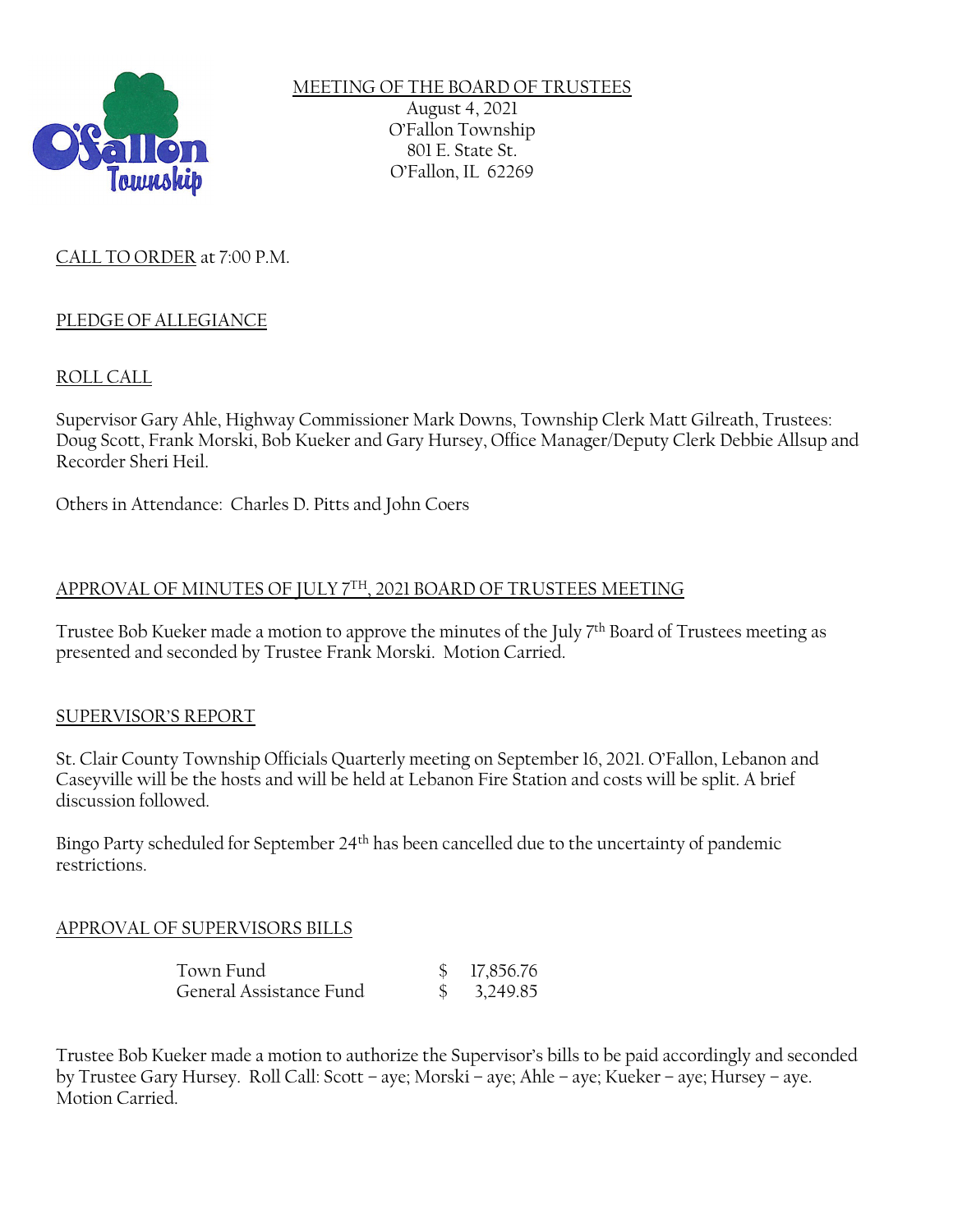

MEETING OF THE BOARD OF TRUSTEES August 4, 2021 O'Fallon Township 801 E. State St. O'Fallon, IL 62269

# CALL TO ORDER at 7:00 P.M.

## PLEDGE OF ALLEGIANCE

### ROLL CALL

Supervisor Gary Ahle, Highway Commissioner Mark Downs, Township Clerk Matt Gilreath, Trustees: Doug Scott, Frank Morski, Bob Kueker and Gary Hursey, Office Manager/Deputy Clerk Debbie Allsup and Recorder Sheri Heil.

Others in Attendance: Charles D. Pitts and John Coers

### APPROVAL OF MINUTES OF JULY 7TH, 2021 BOARD OF TRUSTEES MEETING

Trustee Bob Kueker made a motion to approve the minutes of the July 7<sup>th</sup> Board of Trustees meeting as presented and seconded by Trustee Frank Morski. Motion Carried.

#### SUPERVISOR'S REPORT

St. Clair County Township Officials Quarterly meeting on September 16, 2021. O'Fallon, Lebanon and Caseyville will be the hosts and will be held at Lebanon Fire Station and costs will be split. A brief discussion followed.

Bingo Party scheduled for September 24th has been cancelled due to the uncertainty of pandemic restrictions.

#### APPROVAL OF SUPERVISORS BILLS

| Town Fund               | \$17,856.76            |
|-------------------------|------------------------|
| General Assistance Fund | $\frac{1}{2}$ 3,249.85 |

Trustee Bob Kueker made a motion to authorize the Supervisor's bills to be paid accordingly and seconded by Trustee Gary Hursey. Roll Call: Scott – aye; Morski – aye; Ahle – aye; Kueker – aye; Hursey – aye. Motion Carried.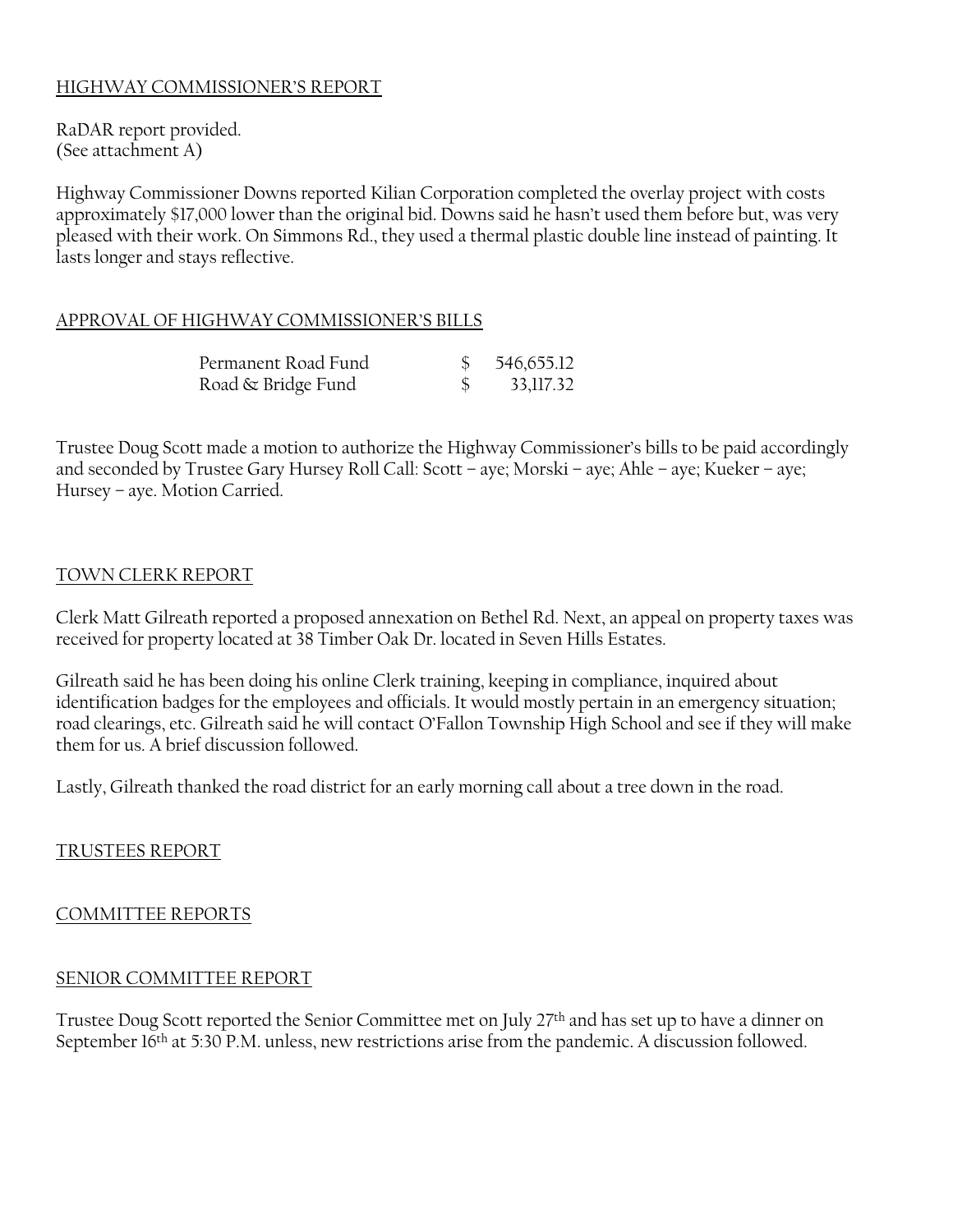## HIGHWAY COMMISSIONER'S REPORT

RaDAR report provided. (See attachment A)

Highway Commissioner Downs reported Kilian Corporation completed the overlay project with costs approximately \$17,000 lower than the original bid. Downs said he hasn't used them before but, was very pleased with their work. On Simmons Rd., they used a thermal plastic double line instead of painting. It lasts longer and stays reflective.

### APPROVAL OF HIGHWAY COMMISSIONER'S BILLS

| Permanent Road Fund | 546,655.12 |
|---------------------|------------|
| Road & Bridge Fund  | 33,117.32  |

Trustee Doug Scott made a motion to authorize the Highway Commissioner's bills to be paid accordingly and seconded by Trustee Gary Hursey Roll Call: Scott – aye; Morski – aye; Ahle – aye; Kueker – aye; Hursey – aye. Motion Carried.

### TOWN CLERK REPORT

Clerk Matt Gilreath reported a proposed annexation on Bethel Rd. Next, an appeal on property taxes was received for property located at 38 Timber Oak Dr. located in Seven Hills Estates.

Gilreath said he has been doing his online Clerk training, keeping in compliance, inquired about identification badges for the employees and officials. It would mostly pertain in an emergency situation; road clearings, etc. Gilreath said he will contact O'Fallon Township High School and see if they will make them for us. A brief discussion followed.

Lastly, Gilreath thanked the road district for an early morning call about a tree down in the road.

TRUSTEES REPORT

#### COMMITTEE REPORTS

#### SENIOR COMMITTEE REPORT

Trustee Doug Scott reported the Senior Committee met on July 27<sup>th</sup> and has set up to have a dinner on September 16<sup>th</sup> at 5:30 P.M. unless, new restrictions arise from the pandemic. A discussion followed.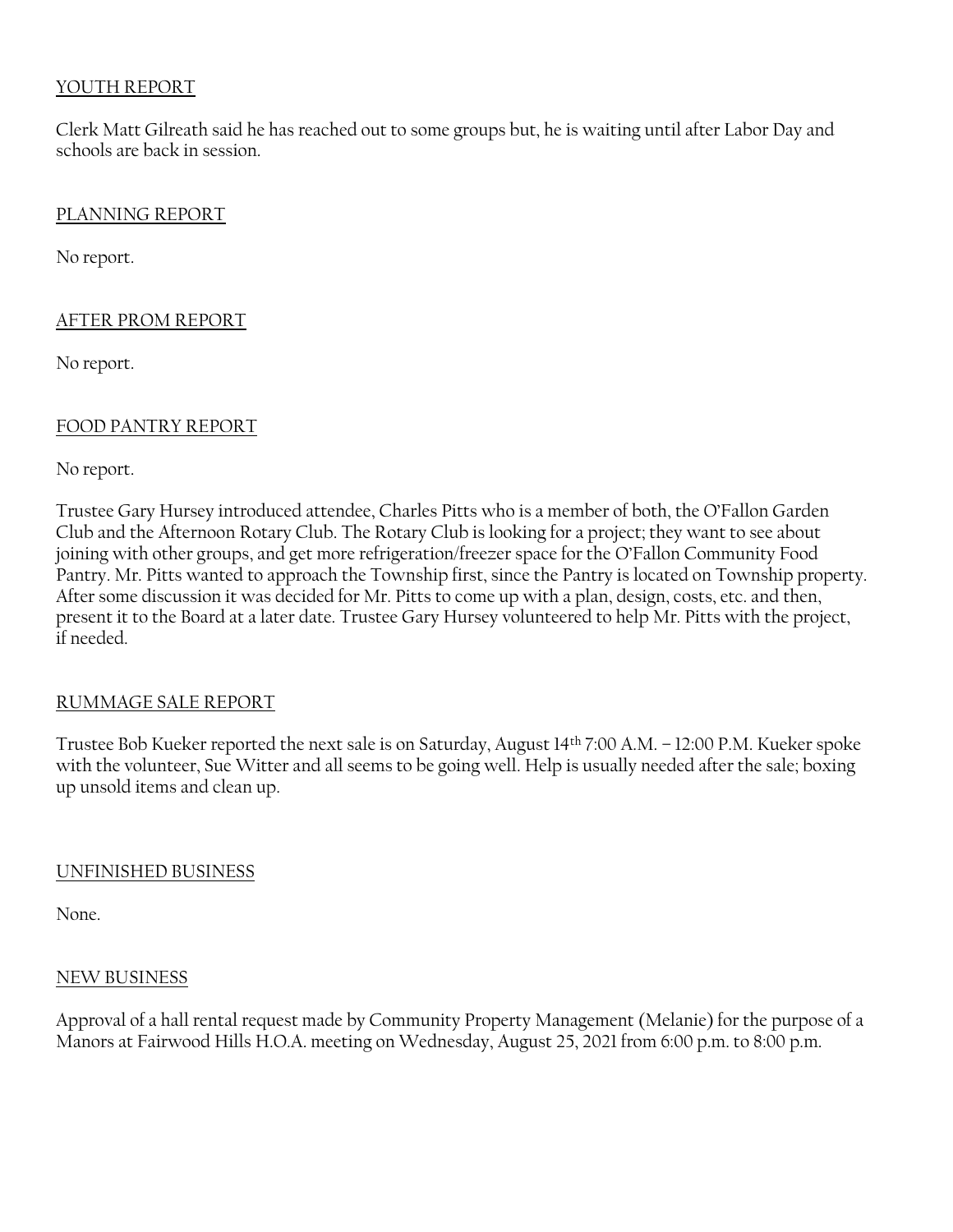## YOUTH REPORT

Clerk Matt Gilreath said he has reached out to some groups but, he is waiting until after Labor Day and schools are back in session.

### PLANNING REPORT

No report.

## AFTER PROM REPORT

No report.

## FOOD PANTRY REPORT

No report.

Trustee Gary Hursey introduced attendee, Charles Pitts who is a member of both, the O'Fallon Garden Club and the Afternoon Rotary Club. The Rotary Club is looking for a project; they want to see about joining with other groups, and get more refrigeration/freezer space for the O'Fallon Community Food Pantry. Mr. Pitts wanted to approach the Township first, since the Pantry is located on Township property. After some discussion it was decided for Mr. Pitts to come up with a plan, design, costs, etc. and then, present it to the Board at a later date. Trustee Gary Hursey volunteered to help Mr. Pitts with the project, if needed.

## RUMMAGE SALE REPORT

Trustee Bob Kueker reported the next sale is on Saturday, August 14th 7:00 A.M. – 12:00 P.M. Kueker spoke with the volunteer, Sue Witter and all seems to be going well. Help is usually needed after the sale; boxing up unsold items and clean up.

## UNFINISHED BUSINESS

None.

#### NEW BUSINESS

Approval of a hall rental request made by Community Property Management (Melanie) for the purpose of a Manors at Fairwood Hills H.O.A. meeting on Wednesday, August 25, 2021 from 6:00 p.m. to 8:00 p.m.